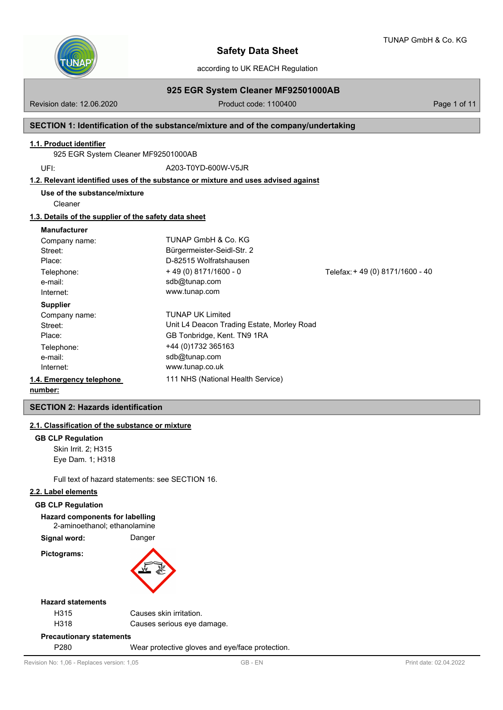

according to UK REACH Regulation

# **925 EGR System Cleaner MF92501000AB**

Revision date: 12.06.2020 **Product code: 1100400** Page 1 of 11

## **SECTION 1: Identification of the substance/mixture and of the company/undertaking**

## **1.1. Product identifier**

925 EGR System Cleaner MF92501000AB

UFI: A203-T0YD-600W-V5JR

## **1.2. Relevant identified uses of the substance or mixture and uses advised against**

**Use of the substance/mixture**

Cleaner

## **1.3. Details of the supplier of the safety data sheet**

#### **Manufacturer**

| Company name:            | TUNAP GmbH & Co. KG                        |                                 |
|--------------------------|--------------------------------------------|---------------------------------|
| Street:                  | Bürgermeister-Seidl-Str. 2                 |                                 |
| Place:                   | D-82515 Wolfratshausen                     |                                 |
| Telephone:               | $+49(0)8171/1600 - 0$                      | Telefax: +49 (0) 8171/1600 - 40 |
| e-mail:                  | sdb@tunap.com                              |                                 |
| Internet:                | www.tunap.com                              |                                 |
| <b>Supplier</b>          |                                            |                                 |
| Company name:            | <b>TUNAP UK Limited</b>                    |                                 |
| Street:                  | Unit L4 Deacon Trading Estate, Morley Road |                                 |
| Place:                   | GB Tonbridge, Kent. TN9 1RA                |                                 |
| Telephone:               | +44 (0)1732 365163                         |                                 |
| e-mail:                  | sdb@tunap.com                              |                                 |
| Internet:                | www.tunap.co.uk                            |                                 |
| 1.4. Emergency telephone | 111 NHS (National Health Service)          |                                 |
|                          |                                            |                                 |

# **number:**

## **SECTION 2: Hazards identification**

## **2.1. Classification of the substance or mixture**

#### **GB CLP Regulation**

Skin Irrit. 2; H315 Eye Dam. 1; H318

Full text of hazard statements: see SECTION 16.

# **2.2. Label elements**

#### **GB CLP Regulation**

**Hazard components for labelling**

2-aminoethanol; ethanolamine

Signal word: Danger

**Pictograms:**



#### **Hazard statements**

| H318 | Causes serious eye damage. |
|------|----------------------------|
| H315 | Causes skin irritation.    |
|      |                            |

## **Precautionary statements**

P280 Wear protective gloves and eye/face protection.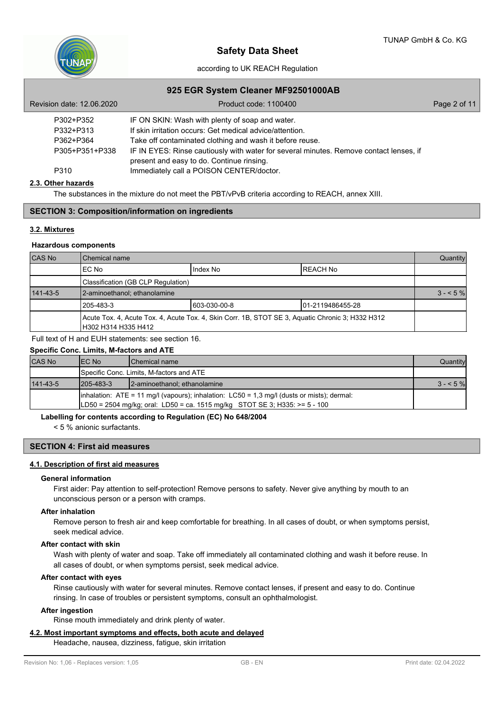

# according to UK REACH Regulation

## **925 EGR System Cleaner MF92501000AB**

| Revision date: 12.06.2020 | Product code: 1100400                                                                                                               | Page 2 of 11 |
|---------------------------|-------------------------------------------------------------------------------------------------------------------------------------|--------------|
| P302+P352                 | IF ON SKIN: Wash with plenty of soap and water.                                                                                     |              |
| P332+P313                 | If skin irritation occurs: Get medical advice/attention.                                                                            |              |
| P362+P364                 | Take off contaminated clothing and wash it before reuse.                                                                            |              |
| P305+P351+P338            | IF IN EYES: Rinse cautiously with water for several minutes. Remove contact lenses, if<br>present and easy to do. Continue rinsing. |              |
| P310                      | Immediately call a POISON CENTER/doctor.                                                                                            |              |

## **2.3. Other hazards**

The substances in the mixture do not meet the PBT/vPvB criteria according to REACH, annex XIII.

## **SECTION 3: Composition/information on ingredients**

### **3.2. Mixtures**

### **Hazardous components**

| CAS No         | l Chemical name                                                                                                         |          |                  |  |  |
|----------------|-------------------------------------------------------------------------------------------------------------------------|----------|------------------|--|--|
|                | IEC No                                                                                                                  | Index No | <b>IREACH No</b> |  |  |
|                | Classification (GB CLP Regulation)                                                                                      |          |                  |  |  |
| $141 - 43 - 5$ | 2-aminoethanol; ethanolamine                                                                                            |          |                  |  |  |
|                | 1205-483-3<br>603-030-00-8<br>101-2119486455-28                                                                         |          |                  |  |  |
|                | Acute Tox. 4, Acute Tox. 4, Acute Tox. 4, Skin Corr. 1B, STOT SE 3, Aquatic Chronic 3; H332 H312<br>H302 H314 H335 H412 |          |                  |  |  |

Full text of H and EUH statements: see section 16.

# **Specific Conc. Limits, M-factors and ATE**

| <b>CAS No</b> | IEC No                                                                                                                                                                                | <b>IChemical name</b>                    | Quantity  |  |
|---------------|---------------------------------------------------------------------------------------------------------------------------------------------------------------------------------------|------------------------------------------|-----------|--|
|               |                                                                                                                                                                                       | Specific Conc. Limits, M-factors and ATE |           |  |
| 141-43-5      | $1205 - 483 - 3$                                                                                                                                                                      | 2-aminoethanol; ethanolamine             | $3 - 5\%$ |  |
|               | $\lambda$ inhalation: ATE = 11 mg/l (vapours); inhalation: LC50 = 1,3 mg/l (dusts or mists); dermal:<br>$ LD50 = 2504$ mg/kg; oral: LD50 = ca. 1515 mg/kg STOT SE 3; H335: >= 5 - 100 |                                          |           |  |

### **Labelling for contents according to Regulation (EC) No 648/2004**

< 5 % anionic surfactants.

# **SECTION 4: First aid measures**

## **4.1. Description of first aid measures**

### **General information**

First aider: Pay attention to self-protection! Remove persons to safety. Never give anything by mouth to an unconscious person or a person with cramps.

#### **After inhalation**

Remove person to fresh air and keep comfortable for breathing. In all cases of doubt, or when symptoms persist, seek medical advice.

#### **After contact with skin**

Wash with plenty of water and soap. Take off immediately all contaminated clothing and wash it before reuse. In all cases of doubt, or when symptoms persist, seek medical advice.

## **After contact with eyes**

Rinse cautiously with water for several minutes. Remove contact lenses, if present and easy to do. Continue rinsing. In case of troubles or persistent symptoms, consult an ophthalmologist.

#### **After ingestion**

Rinse mouth immediately and drink plenty of water.

## **4.2. Most important symptoms and effects, both acute and delayed**

Headache, nausea, dizziness, fatigue, skin irritation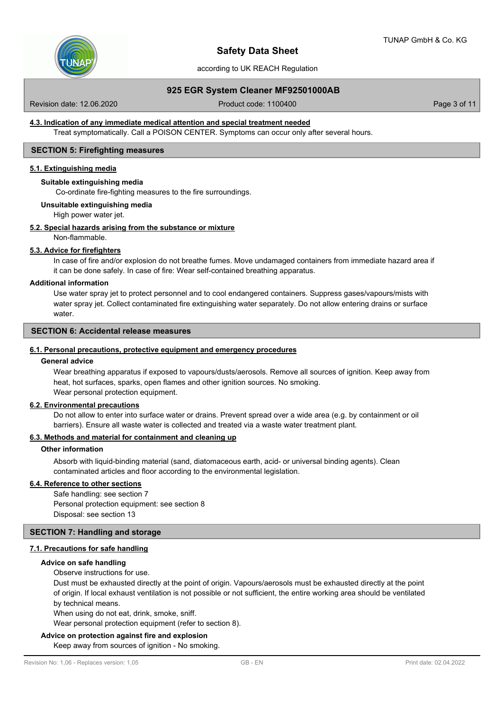## according to UK REACH Regulation

# **925 EGR System Cleaner MF92501000AB**

Revision date: 12.06.2020 **Product code: 1100400** Page 3 of 11

## **4.3. Indication of any immediate medical attention and special treatment needed**

Treat symptomatically. Call a POISON CENTER. Symptoms can occur only after several hours.

#### **SECTION 5: Firefighting measures**

# **5.1. Extinguishing media**

## **Suitable extinguishing media**

Co-ordinate fire-fighting measures to the fire surroundings.

# **Unsuitable extinguishing media**

High power water jet.

#### **5.2. Special hazards arising from the substance or mixture**

Non-flammable.

## **5.3. Advice for firefighters**

In case of fire and/or explosion do not breathe fumes. Move undamaged containers from immediate hazard area if it can be done safely. In case of fire: Wear self-contained breathing apparatus.

#### **Additional information**

Use water spray jet to protect personnel and to cool endangered containers. Suppress gases/vapours/mists with water spray jet. Collect contaminated fire extinguishing water separately. Do not allow entering drains or surface water.

# **SECTION 6: Accidental release measures**

#### **6.1. Personal precautions, protective equipment and emergency procedures**

#### **General advice**

Wear breathing apparatus if exposed to vapours/dusts/aerosols. Remove all sources of ignition. Keep away from heat, hot surfaces, sparks, open flames and other ignition sources. No smoking. Wear personal protection equipment.

## **6.2. Environmental precautions**

Do not allow to enter into surface water or drains. Prevent spread over a wide area (e.g. by containment or oil barriers). Ensure all waste water is collected and treated via a waste water treatment plant.

#### **6.3. Methods and material for containment and cleaning up**

#### **Other information**

Absorb with liquid-binding material (sand, diatomaceous earth, acid- or universal binding agents). Clean contaminated articles and floor according to the environmental legislation.

### **6.4. Reference to other sections**

Safe handling: see section 7 Personal protection equipment: see section 8 Disposal: see section 13

# **SECTION 7: Handling and storage**

#### **7.1. Precautions for safe handling**

#### **Advice on safe handling**

Observe instructions for use.

Dust must be exhausted directly at the point of origin. Vapours/aerosols must be exhausted directly at the point of origin. If local exhaust ventilation is not possible or not sufficient, the entire working area should be ventilated by technical means.

When using do not eat, drink, smoke, sniff.

Wear personal protection equipment (refer to section 8).

#### **Advice on protection against fire and explosion**

Keep away from sources of ignition - No smoking.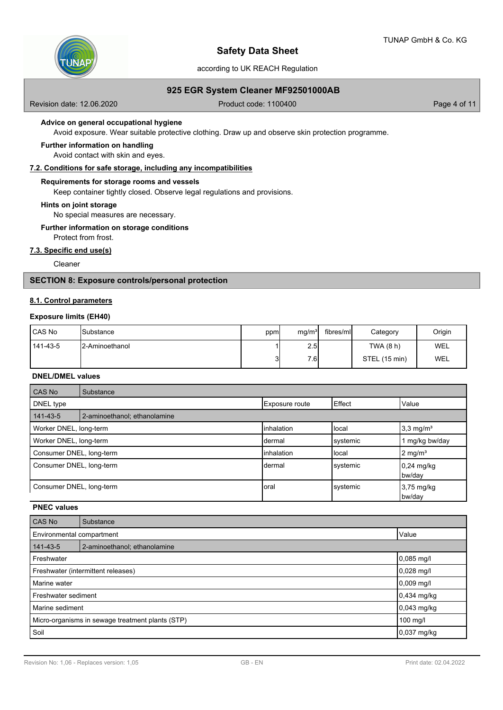

according to UK REACH Regulation

# **925 EGR System Cleaner MF92501000AB**

Revision date: 12.06.2020 **Product code: 1100400** Page 4 of 11

## **Advice on general occupational hygiene**

Avoid exposure. Wear suitable protective clothing. Draw up and observe skin protection programme.

#### **Further information on handling**

Avoid contact with skin and eyes.

## **7.2. Conditions for safe storage, including any incompatibilities**

### **Requirements for storage rooms and vessels**

Keep container tightly closed. Observe legal regulations and provisions.

**Hints on joint storage**

No special measures are necessary.

#### **Further information on storage conditions**

Protect from frost.

# **7.3. Specific end use(s)**

Cleaner

# **SECTION 8: Exposure controls/personal protection**

## **8.1. Control parameters**

## **Exposure limits (EH40)**

| l CAS No | <b>I</b> Substance     | ppm | mg/m <sup>3</sup> | fibres/ml | Category      | Origin |
|----------|------------------------|-----|-------------------|-----------|---------------|--------|
| 141-43-5 | <b>I2-Aminoethanol</b> |     | 2.5               |           | TWA (8 h)     | WEL    |
|          |                        | 31  | 7.6I              |           | STEL (15 min) | WEL    |

#### **DNEL/DMEL values**

| <b>CAS No</b>            | Substance                    |                       |          |                                |
|--------------------------|------------------------------|-----------------------|----------|--------------------------------|
| DNEL type                |                              | <b>Exposure route</b> | Effect   | Value                          |
| 141-43-5                 | 2-aminoethanol; ethanolamine |                       |          |                                |
| Worker DNEL, long-term   |                              | linhalation           | llocal   | $3,3 \text{ mg/m}^3$           |
| Worker DNEL, long-term   |                              | Idermal               | systemic | mg/kg bw/day                   |
| Consumer DNEL, long-term |                              | linhalation           | llocal   | $2 \text{ mg/m}^3$             |
| Consumer DNEL, long-term |                              | dermal                | systemic | $0,24 \text{ mg/kg}$<br>bw/day |
| Consumer DNEL, long-term |                              | Ioral                 | systemic | $3,75 \text{ mg/kg}$<br>bw/day |

# **PNEC values**

| CAS No                                           | Substance                    |               |  |
|--------------------------------------------------|------------------------------|---------------|--|
| Value<br>Environmental compartment               |                              |               |  |
| 141-43-5                                         | 2-aminoethanol; ethanolamine |               |  |
| Freshwater                                       | $0,085 \,\mathrm{mg/l}$      |               |  |
| Freshwater (intermittent releases)               | 0,028 mg/l                   |               |  |
| Marine water                                     |                              | $0,009$ mg/l  |  |
| Freshwater sediment                              |                              | 0,434 mg/kg   |  |
| Marine sediment                                  |                              | $0,043$ mg/kg |  |
| Micro-organisms in sewage treatment plants (STP) |                              | 100 mg/l      |  |
| Soil                                             |                              | $0,037$ mg/kg |  |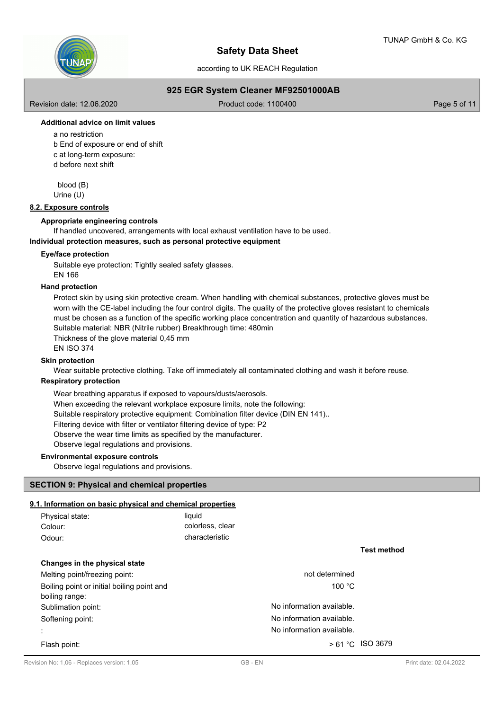

according to UK REACH Regulation

# **925 EGR System Cleaner MF92501000AB**

Revision date: 12.06.2020 **Product code: 1100400** Page 5 of 11

# **Additional advice on limit values**

a no restriction b End of exposure or end of shift c at long-term exposure: d before next shift

 blood (B) Urine (U)

# **8.2. Exposure controls**

## **Appropriate engineering controls**

If handled uncovered, arrangements with local exhaust ventilation have to be used.

## **Individual protection measures, such as personal protective equipment**

## **Eye/face protection**

Suitable eye protection: Tightly sealed safety glasses. EN 166

## **Hand protection**

Protect skin by using skin protective cream. When handling with chemical substances, protective gloves must be worn with the CE-label including the four control digits. The quality of the protective gloves resistant to chemicals must be chosen as a function of the specific working place concentration and quantity of hazardous substances. Suitable material: NBR (Nitrile rubber) Breakthrough time: 480min Thickness of the glove material 0,45 mm

EN ISO 374

# **Skin protection**

Wear suitable protective clothing. Take off immediately all contaminated clothing and wash it before reuse.

#### **Respiratory protection**

Wear breathing apparatus if exposed to vapours/dusts/aerosols. When exceeding the relevant workplace exposure limits, note the following: Suitable respiratory protective equipment: Combination filter device (DIN EN 141).. Filtering device with filter or ventilator filtering device of type: P2 Observe the wear time limits as specified by the manufacturer. Observe legal regulations and provisions.

#### **Environmental exposure controls**

Observe legal regulations and provisions.

## **SECTION 9: Physical and chemical properties**

# **9.1. Information on basic physical and chemical properties**

| Physical state: | liauid           |
|-----------------|------------------|
| Colour:         | colorless, clear |
| Odour:          | characteristic   |

**Changes in the physical state** Melting point/freezing point: not determined Boiling point or initial boiling point and 100 °C boiling range: Sublimation point: Sublimation point: No information available. Softening point: Softening point: No information available. : No information available. Flash point:  $> 61 °C$  ISO 3679

**Test method**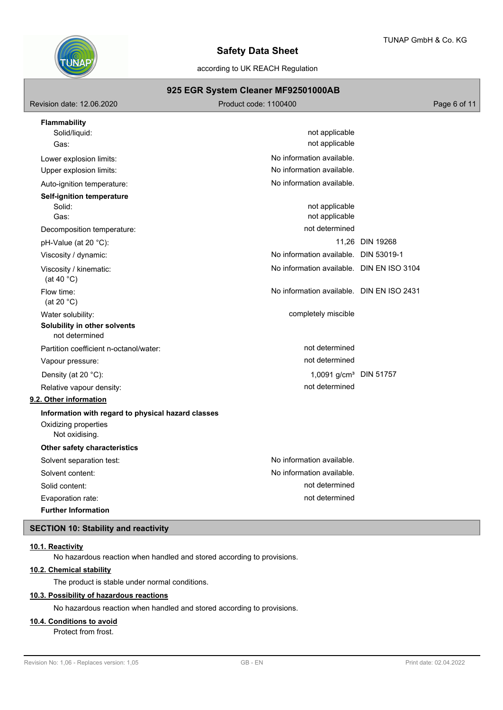

according to UK REACH Regulation

# **925 EGR System Cleaner MF92501000AB**

| not applicable<br>not applicable                                                                                                                                      |                 |
|-----------------------------------------------------------------------------------------------------------------------------------------------------------------------|-----------------|
| No information available.<br>No information available.                                                                                                                |                 |
| No information available.<br>not applicable<br>not applicable<br>not determined<br>No information available. DIN 53019-1<br>No information available. DIN EN ISO 3104 | 11,26 DIN 19268 |
| No information available. DIN EN ISO 2431<br>completely miscible<br>not determined                                                                                    |                 |
| not determined<br>1,0091 g/cm <sup>3</sup> DIN 51757<br>not determined                                                                                                |                 |
| No information available.<br>No information available.<br>not determined<br>not determined                                                                            |                 |
|                                                                                                                                                                       |                 |

# **SECTION 10: Stability and reactivity**

## **10.1. Reactivity**

No hazardous reaction when handled and stored according to provisions.

# **10.2. Chemical stability**

The product is stable under normal conditions.

# **10.3. Possibility of hazardous reactions**

No hazardous reaction when handled and stored according to provisions.

#### **10.4. Conditions to avoid**

Protect from frost.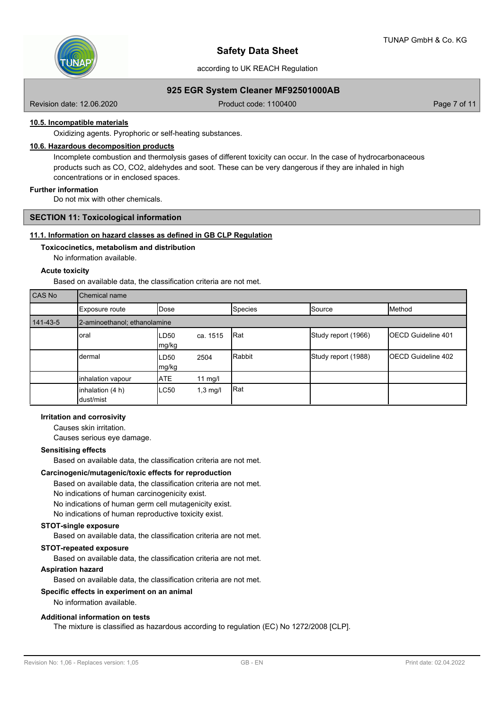

according to UK REACH Regulation

# **925 EGR System Cleaner MF92501000AB**

Revision date: 12.06.2020 **Product code: 1100400** Page 7 of 11

# **10.5. Incompatible materials**

Oxidizing agents. Pyrophoric or self-heating substances.

# **10.6. Hazardous decomposition products**

Incomplete combustion and thermolysis gases of different toxicity can occur. In the case of hydrocarbonaceous products such as CO, CO2, aldehydes and soot. These can be very dangerous if they are inhaled in high concentrations or in enclosed spaces.

# **Further information**

Do not mix with other chemicals.

## **SECTION 11: Toxicological information**

## **11.1. Information on hazard classes as defined in GB CLP Regulation**

# **Toxicocinetics, metabolism and distribution**

No information available.

## **Acute toxicity**

Based on available data, the classification criteria are not met.

| CAS No   | Chemical name                 |               |                    |         |                     |                            |  |  |  |  |
|----------|-------------------------------|---------------|--------------------|---------|---------------------|----------------------------|--|--|--|--|
|          | Exposure route                | Dose          |                    | Species | Source              | Method                     |  |  |  |  |
| 141-43-5 | 2-aminoethanol; ethanolamine  |               |                    |         |                     |                            |  |  |  |  |
|          | oral                          | LD50<br>mg/kg | ca. 1515           | Rat     | Study report (1966) | <b>IOECD Guideline 401</b> |  |  |  |  |
|          | dermal                        | LD50<br>mg/kg | 2504               | Rabbit  | Study report (1988) | <b>IOECD Guideline 402</b> |  |  |  |  |
|          | inhalation vapour             | <b>ATE</b>    | 11 $mg/l$          |         |                     |                            |  |  |  |  |
|          | inhalation (4 h)<br>dust/mist | LC50          | $1,3 \text{ mg/l}$ | Rat     |                     |                            |  |  |  |  |

## **Irritation and corrosivity**

Causes skin irritation.

Causes serious eye damage.

### **Sensitising effects**

Based on available data, the classification criteria are not met.

#### **Carcinogenic/mutagenic/toxic effects for reproduction**

Based on available data, the classification criteria are not met. No indications of human carcinogenicity exist. No indications of human germ cell mutagenicity exist. No indications of human reproductive toxicity exist.

## **STOT-single exposure**

Based on available data, the classification criteria are not met.

#### **STOT-repeated exposure**

Based on available data, the classification criteria are not met.

## **Aspiration hazard**

Based on available data, the classification criteria are not met.

#### **Specific effects in experiment on an animal**

# No information available.

# **Additional information on tests**

The mixture is classified as hazardous according to regulation (EC) No 1272/2008 [CLP].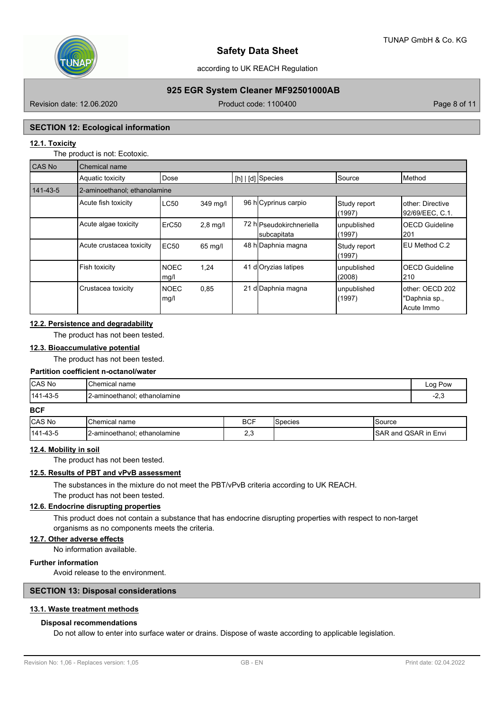

according to UK REACH Regulation

# **925 EGR System Cleaner MF92501000AB**

Revision date: 12.06.2020 **Product code: 1100400** Page 8 of 11

#### **SECTION 12: Ecological information**

## **12.1. Toxicity**

The product is not: Ecotoxic.

| CAS No   | Chemical name                |                     |            |    |                                         |                        |                                                 |  |  |
|----------|------------------------------|---------------------|------------|----|-----------------------------------------|------------------------|-------------------------------------------------|--|--|
|          | Aquatic toxicity             | Dose                |            |    | [h]   [d] Species                       | Source                 | Method                                          |  |  |
| 141-43-5 | 2-aminoethanol; ethanolamine |                     |            |    |                                         |                        |                                                 |  |  |
|          | Acute fish toxicity          | <b>LC50</b>         | 349 mg/l   |    | 96 hCyprinus carpio                     | Study report<br>(1997) | lother: Directive<br>92/69/EEC, C.1.            |  |  |
|          | Acute algae toxicity         | ErC <sub>50</sub>   | $2,8$ mg/l |    | 72 hlPseudokirchneriella<br>subcapitata | unpublished<br>(1997)  | <b>OECD Guideline</b><br> 201                   |  |  |
|          | Acute crustacea toxicity     | EC <sub>50</sub>    | 65 mg/l    |    | 48 h Daphnia magna                      | Study report<br>(1997) | IEU Method C.2                                  |  |  |
|          | Fish toxicity                | <b>NOEC</b><br>mg/l | 1,24       | 41 | d Oryzias latipes                       | unpublished<br>(2008)  | <b>OECD Guideline</b><br> 210                   |  |  |
|          | Crustacea toxicity           | <b>NOEC</b><br>mg/l | 0,85       |    | 21 d Daphnia magna                      | unpublished<br>(1997)  | lother: OECD 202<br>"Daphnia sp.,<br>Acute Immo |  |  |

## **12.2. Persistence and degradability**

The product has not been tested.

#### **12.3. Bioaccumulative potential**

The product has not been tested.

#### **Partition coefficient n-octanol/water**

| CAS No            | 'Chemical<br>name               | ∟ഠഠ<br>Pow     |
|-------------------|---------------------------------|----------------|
| 141<br>. 4<br>ำ−- | ethanolamine<br>.-aminoethanol: | $\sim$<br>۰. - |

## **BCF**

| <b>CAS No</b>   | <b>Chemical</b><br>name         | <b>BCF</b> | species | source                         |
|-----------------|---------------------------------|------------|---------|--------------------------------|
| $43 - 5$<br>141 | ethanolamine<br>.2-aminoethanol | ـ .        |         | in Envi<br>.SAP.<br>SAF<br>and |

### **12.4. Mobility in soil**

The product has not been tested.

#### **12.5. Results of PBT and vPvB assessment**

The substances in the mixture do not meet the PBT/vPvB criteria according to UK REACH.

The product has not been tested.

# **12.6. Endocrine disrupting properties**

This product does not contain a substance that has endocrine disrupting properties with respect to non-target organisms as no components meets the criteria.

## **12.7. Other adverse effects**

No information available.

# **Further information**

Avoid release to the environment.

## **SECTION 13: Disposal considerations**

# **13.1. Waste treatment methods**

## **Disposal recommendations**

Do not allow to enter into surface water or drains. Dispose of waste according to applicable legislation.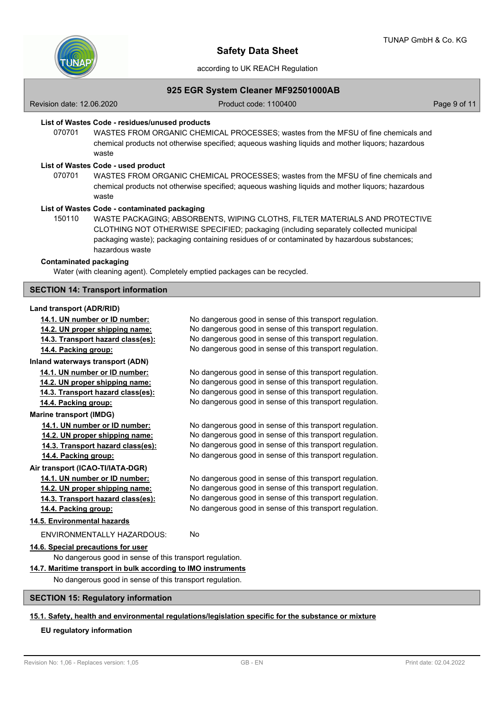

according to UK REACH Regulation

# **925 EGR System Cleaner MF92501000AB**

Revision date: 12.06.2020 **Product code: 1100400** Page 9 of 11

# **List of Wastes Code - residues/unused products**

070701 WASTES FROM ORGANIC CHEMICAL PROCESSES; wastes from the MFSU of fine chemicals and chemical products not otherwise specified; aqueous washing liquids and mother liquors; hazardous waste

### **List of Wastes Code - used product**

WASTES FROM ORGANIC CHEMICAL PROCESSES; wastes from the MFSU of fine chemicals and chemical products not otherwise specified; aqueous washing liquids and mother liquors; hazardous waste 070701

#### **List of Wastes Code - contaminated packaging**

WASTE PACKAGING; ABSORBENTS, WIPING CLOTHS, FILTER MATERIALS AND PROTECTIVE CLOTHING NOT OTHERWISE SPECIFIED; packaging (including separately collected municipal packaging waste); packaging containing residues of or contaminated by hazardous substances; hazardous waste 150110

#### **Contaminated packaging**

Water (with cleaning agent). Completely emptied packages can be recycled.

## **SECTION 14: Transport information**

### **Land transport (ADR/RID)**

| 14.1. UN number or ID number:                                 | No dangerous good in sense of this transport regulation. |  |
|---------------------------------------------------------------|----------------------------------------------------------|--|
| 14.2. UN proper shipping name:                                | No dangerous good in sense of this transport regulation. |  |
| 14.3. Transport hazard class(es):                             | No dangerous good in sense of this transport regulation. |  |
| 14.4. Packing group:                                          | No dangerous good in sense of this transport regulation. |  |
| Inland waterways transport (ADN)                              |                                                          |  |
| 14.1. UN number or ID number:                                 | No dangerous good in sense of this transport regulation. |  |
| 14.2. UN proper shipping name:                                | No dangerous good in sense of this transport regulation. |  |
| 14.3. Transport hazard class(es):                             | No dangerous good in sense of this transport regulation. |  |
| 14.4. Packing group:                                          | No dangerous good in sense of this transport regulation. |  |
| <b>Marine transport (IMDG)</b>                                |                                                          |  |
| 14.1. UN number or ID number:                                 | No dangerous good in sense of this transport regulation. |  |
| 14.2. UN proper shipping name:                                | No dangerous good in sense of this transport regulation. |  |
| 14.3. Transport hazard class(es):                             | No dangerous good in sense of this transport regulation. |  |
| 14.4. Packing group:                                          | No dangerous good in sense of this transport regulation. |  |
| Air transport (ICAO-TI/IATA-DGR)                              |                                                          |  |
| 14.1. UN number or ID number:                                 | No dangerous good in sense of this transport regulation. |  |
| 14.2. UN proper shipping name:                                | No dangerous good in sense of this transport regulation. |  |
| 14.3. Transport hazard class(es):                             | No dangerous good in sense of this transport regulation. |  |
| 14.4. Packing group:                                          | No dangerous good in sense of this transport regulation. |  |
| 14.5. Environmental hazards                                   |                                                          |  |
| <b>ENVIRONMENTALLY HAZARDOUS:</b>                             | No                                                       |  |
| 14.6. Special precautions for user                            |                                                          |  |
| No dangerous good in sense of this transport regulation.      |                                                          |  |
| 14.7. Maritime transport in bulk according to IMO instruments |                                                          |  |
| No dangerous good in sense of this transport regulation.      |                                                          |  |
|                                                               |                                                          |  |

# **SECTION 15: Regulatory information**

# **15.1. Safety, health and environmental regulations/legislation specific for the substance or mixture**

#### **EU regulatory information**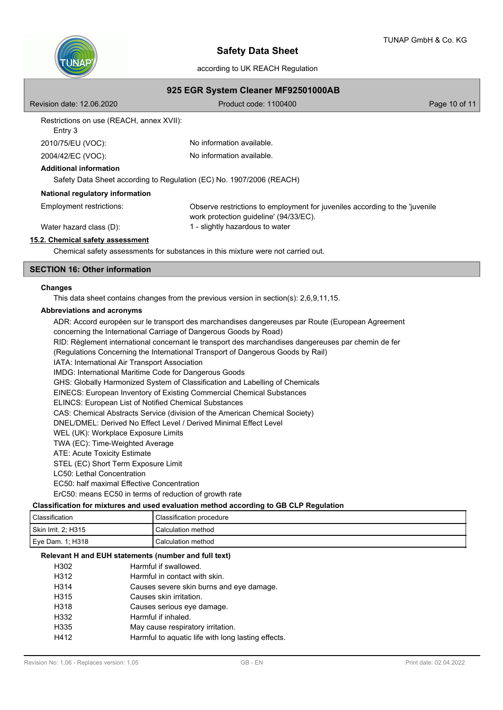

according to UK REACH Regulation

| 925 EGR System Cleaner MF92501000AB                                  |                                                                                                                       |               |  |  |
|----------------------------------------------------------------------|-----------------------------------------------------------------------------------------------------------------------|---------------|--|--|
| Revision date: 12.06.2020                                            | Product code: 1100400                                                                                                 | Page 10 of 11 |  |  |
| Restrictions on use (REACH, annex XVII):<br>Entry 3                  |                                                                                                                       |               |  |  |
| 2010/75/EU (VOC):                                                    | No information available.                                                                                             |               |  |  |
| 2004/42/EC (VOC):                                                    | No information available.                                                                                             |               |  |  |
| <b>Additional information</b>                                        |                                                                                                                       |               |  |  |
| Safety Data Sheet according to Regulation (EC) No. 1907/2006 (REACH) |                                                                                                                       |               |  |  |
| National regulatory information                                      |                                                                                                                       |               |  |  |
| Employment restrictions:                                             | Observe restrictions to employment for juveniles according to the 'juvenile<br>work protection guideline' (94/33/EC). |               |  |  |
| Water hazard class (D):                                              | 1 - slightly hazardous to water                                                                                       |               |  |  |
| 15.2. Chemical safety assessment                                     |                                                                                                                       |               |  |  |
|                                                                      | Chemical safety assessments for substances in this mixture were not carried out.                                      |               |  |  |

## **SECTION 16: Other information**

#### **Changes**

This data sheet contains changes from the previous version in section(s): 2,6,9,11,15.

#### **Abbreviations and acronyms**

ADR: Accord européen sur le transport des marchandises dangereuses par Route (European Agreement concerning the International Carriage of Dangerous Goods by Road) RID: Règlement international concernant le transport des marchandises dangereuses par chemin de fer (Regulations Concerning the International Transport of Dangerous Goods by Rail) IATA: International Air Transport Association IMDG: International Maritime Code for Dangerous Goods GHS: Globally Harmonized System of Classification and Labelling of Chemicals EINECS: European Inventory of Existing Commercial Chemical Substances ELINCS: European List of Notified Chemical Substances CAS: Chemical Abstracts Service (division of the American Chemical Society) DNEL/DMEL: Derived No Effect Level / Derived Minimal Effect Level WEL (UK): Workplace Exposure Limits TWA (EC): Time-Weighted Average ATE: Acute Toxicity Estimate STEL (EC) Short Term Exposure Limit LC50: Lethal Concentration EC50: half maximal Effective Concentration ErC50: means EC50 in terms of reduction of growth rate

# **Classification for mixtures and used evaluation method according to GB CLP Regulation**

| Classification      | Classification procedure |
|---------------------|--------------------------|
| Skin Irrit. 2; H315 | Calculation method       |
| Eye Dam. 1; H318!   | Calculation method       |

#### **Relevant H and EUH statements (number and full text)**

| H302              | Harmful if swallowed.                              |
|-------------------|----------------------------------------------------|
| H312              | Harmful in contact with skin.                      |
| H <sub>3</sub> 14 | Causes severe skin burns and eye damage.           |
| H315              | Causes skin irritation.                            |
| H318              | Causes serious eye damage.                         |
| H332              | Harmful if inhaled.                                |
| H335              | May cause respiratory irritation.                  |
| H412              | Harmful to aquatic life with long lasting effects. |